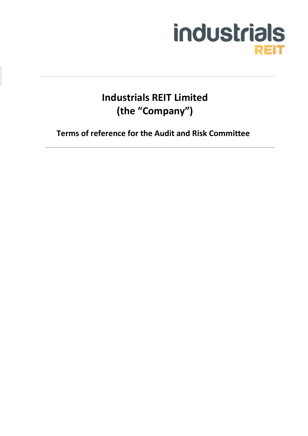

**Industrials REIT Limited (the "Company")**

**Terms of reference for the Audit and Risk Committee**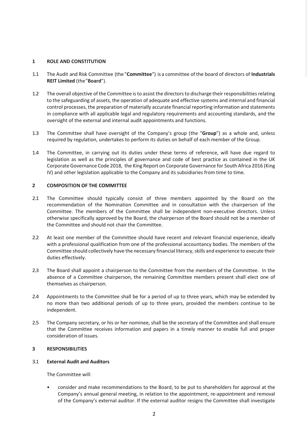## **1 ROLE AND CONSTITUTION**

- 1.1 The Audit and Risk Committee (the "**Committee**") is a committee of the board of directors of **Industrials REIT Limited** (the"**Board**").
- 1.2 The overall objective of the Committee is to assist the directors to discharge their responsibilities relating to the safeguarding of assets, the operation of adequate and effective systems and internal and financial control processes, the preparation of materially accurate financial reporting information and statements in compliance with all applicable legal and regulatory requirements and accounting standards, and the oversight of the external and internal audit appointments and functions.
- 1.3 The Committee shall have oversight of the Company's group (the "**Group**") as a whole and, unless required by regulation, undertakes to perform its duties on behalf of each member of the Group.
- 1.4 The Committee, in carrying out its duties under these terms of reference, will have due regard to legislation as well as the principles of governance and code of best practice as contained in the UK Corporate Governance Code 2018, the King Report on Corporate Governance for South Africa 2016 (King IV) and other legislation applicable to the Company and its subsidiaries from time to time.

# **2 COMPOSITION OF THE COMMITTEE**

- 2.1 The Committee should typically consist of three members appointed by the Board on the recommendation of the Nomination Committee and in consultation with the chairperson of the Committee. The members of the Committee shall be independent non-executive directors. Unless otherwise specifically approved by the Board, the chairperson of the Board should not be a member of the Committee and should not chair the Committee.
- 2.2 At least one member of the Committee should have recent and relevant financial experience, ideally with a professional qualification from one of the professional accountancy bodies. The members of the Committee should collectively have the necessary financial literacy, skills and experience to execute their duties effectively.
- 2.3 The Board shall appoint a chairperson to the Committee from the members of the Committee. In the absence of a Committee chairperson, the remaining Committee members present shall elect one of themselves as chairperson.
- 2.4 Appointments to the Committee shall be for a period of up to three years, which may be extended by no more than two additional periods of up to three years, provided the members continue to be independent.
- 2.5 The Company secretary, or his or her nominee, shall be the secretary of the Committee and shall ensure that the Committee receives information and papers in a timely manner to enable full and proper consideration of issues.

#### **3 RESPONSIBILITIES**

#### 3.1 **External Audit and Auditors**

The Committee will:

• consider and make recommendations to the Board, to be put to shareholders for approval at the Company's annual general meeting, in relation to the appointment, re-appointment and removal of the Company's external auditor. If the external auditor resigns the Committee shall investigate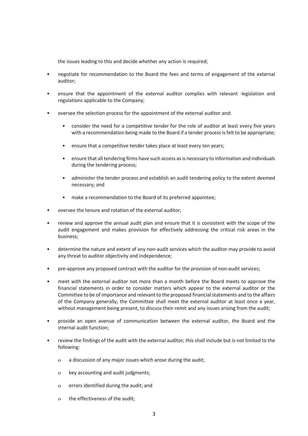the issues leading to this and decide whether any action is required;

- negotiate for recommendation to the Board the fees and terms of engagement of the external auditor;
- ensure that the appointment of the external auditor complies with relevant ·legislation and regulations applicable to the Company;
- oversee the selection process for the appointment of the external auditor and:
	- consider the need for a competitive tender for the role of auditor at least every five years with a recommendation being made to the Board if a tender process is felt to be appropriate;
	- ensure that a competitive tender takes place at least every ten years;
	- ensure that all tendering firms have such access as is necessary to information and individuals during the tendering process;
	- administer the tender process and establish an audit tendering policy to the extent deemed necessary; and
	- make a recommendation to the Board of its preferred appointee;
- oversee the tenure and rotation of the external auditor;
- review and approve the annual audit plan and ensure that it is consistent with the scope of the audit engagement and makes provision for effectively addressing the critical risk areas in the business;
- determine the nature and extent of any non-audit services which the auditor may provide to avoid any threat to auditor objectivity and independence;
- pre-approve any proposed contract with the auditor for the provision of non-audit services;
- meet with the external auditor not more than a month before the Board meets to approve the financial statements in order to consider matters which appear to the external auditor or the Committee to be of importance and relevant to the proposed financial statements and to the affairs of the Company generally; the Committee shall meet the external auditor at least once a year, without management being present, to discuss their remit and any issues arising from the audit;
- provide an open avenue of communication between the external auditor, the Board and the internal audit function;
- review the findings of the audit with the external auditor; this shall include but is not limited to the following:
	- o a discussion of any major issues which arose during the audit;
	- o key accounting and audit judgments;
	- o errors identified during the audit; and
	- o the effectiveness of the audit;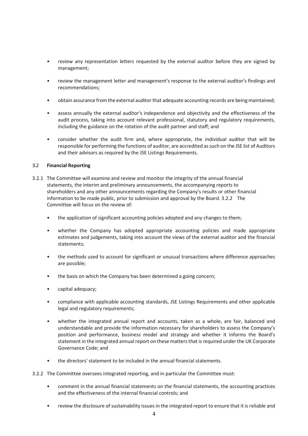- review any representation letters requested by the external auditor before they are signed by management;
- review the management letter and management's response to the external auditor's findings and recommendations;
- obtain assurance from the external auditor that adequate accounting records are being maintained;
- assess annually the external auditor's independence and objectivity and the effectiveness of the audit process, taking into account relevant professional, statutory and regulatory requirements, including the guidance on the rotation of the audit partner and staff; and
- consider whether the audit firm and, where appropriate, the individual auditor that will be responsible for performing the functions of auditor, are accredited as such on the JSE list of Auditors and their advisors as required by the JSE Listings Requirements.

## 3.2 **Financial Reporting**

- 3.2.1 The Committee will examine and review and monitor the integrity of the annual financial statements, the interim and preliminary announcements, the accompanying reports to shareholders and any other announcements regarding the Company's results or other financial information to be made public, prior to submission and approval by the Board. 3.2.2 The Committee will focus on the review of:
	- the application of significant accounting policies adopted and any changes to them;
	- whether the Company has adopted appropriate accounting policies and made appropriate estimates and judgements, taking into account the views of the external auditor and the financial statements;
	- the methods used to account for significant or unusual transactions where difference approaches are possible;
	- the basis on which the Company has been determined a going concern;
	- capital adequacy;
	- compliance with applicable accounting standards, JSE Listings Requirements and other applicable legal and regulatory requirements;
	- whether the integrated annual report and accounts, taken as a whole, are fair, balanced and understandable and provide the information necessary for shareholders to assess the Company's position and performance, business model and strategy and whether it informs the Board's statement in the integrated annual report on these matters that is required under the UK Corporate Governance Code; and
	- the directors' statement to be included in the annual financial statements.
- 3.2.2 The Committee oversees integrated reporting, and in particular the Committee must:
	- comment in the annual financial statements on the financial statements, the accounting practices and the effectiveness of the internal financial controls; and
	- review the disclosure of sustainability issues in the integrated report to ensure that it is reliable and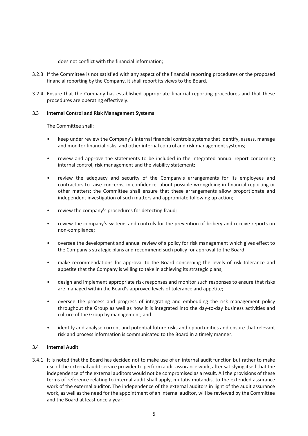does not conflict with the financial information;

- 3.2.3 If the Committee is not satisfied with any aspect of the financial reporting procedures or the proposed financial reporting by the Company, it shall report its views to the Board.
- 3.2.4 Ensure that the Company has established appropriate financial reporting procedures and that these procedures are operating effectively.

## 3.3 **Internal Control and Risk Management Systems**

The Committee shall:

- keep under review the Company's internal financial controls systems that identify, assess, manage and monitor financial risks, and other internal control and risk management systems;
- review and approve the statements to be included in the integrated annual report concerning internal control, risk management and the viability statement;
- review the adequacy and security of the Company's arrangements for its employees and contractors to raise concerns, in confidence, about possible wrongdoing in financial reporting or other matters; the Committee shall ensure that these arrangements allow proportionate and independent investigation of such matters and appropriate following up action;
- review the company's procedures for detecting fraud;
- review the company's systems and controls for the prevention of bribery and receive reports on non-compliance;
- oversee the development and annual review of a policy for risk management which gives effect to the Company's strategic plans and recommend such policy for approval to the Board;
- make recommendations for approval to the Board concerning the levels of risk tolerance and appetite that the Company is willing to take in achieving its strategic plans;
- design and implement appropriate risk responses and monitor such responses to ensure that risks are managed within the Board's approved levels of tolerance and appetite;
- oversee the process and progress of integrating and embedding the risk management policy throughout the Group as well as how it is integrated into the day-to-day business activities and culture of the Group by management; and
- identify and analyse current and potential future risks and opportunities and ensure that relevant risk and process information is communicated to the Board in a timely manner.

#### 3.4 **Internal Audit**

3.4.1 It is noted that the Board has decided not to make use of an internal audit function but rather to make use of the external audit service provider to perform audit assurance work, after satisfying itself that the independence of the external auditors would not be compromised as a result. All the provisions of these terms of reference relating to internal audit shall apply, mutatis mutandis, to the extended assurance work of the external auditor. The independence of the external auditors in light of the audit assurance work, as well as the need for the appointment of an internal auditor, will be reviewed by the Committee and the Board at least once a year.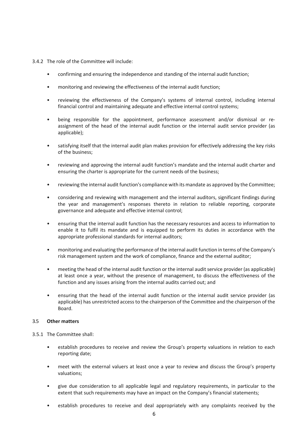- 3.4.2 The role of the Committee will include:
	- confirming and ensuring the independence and standing of the internal audit function;
	- monitoring and reviewing the effectiveness of the internal audit function;
	- reviewing the effectiveness of the Company's systems of internal control, including internal financial control and maintaining adequate and effective internal control systems;
	- being responsible for the appointment, performance assessment and/or dismissal or reassignment of the head of the internal audit function or the internal audit service provider (as applicable);
	- satisfying itself that the internal audit plan makes provision for effectively addressing the key risks of the business;
	- reviewing and approving the internal audit function's mandate and the internal audit charter and ensuring the charter is appropriate for the current needs of the business;
	- reviewing the internal audit function's compliance with its mandate as approved by the Committee;
	- considering and reviewing with management and the internal auditors, significant findings during the year and management's responses thereto in relation to reliable reporting, corporate governance and adequate and effective internal control;
	- ensuring that the internal audit function has the necessary resources and access to information to enable it to fulfil its mandate and is equipped to perform its duties in accordance with the appropriate professional standards for internal auditors;
	- monitoring and evaluating the performance of the internal audit function in terms of the Company's risk management system and the work of compliance, finance and the external auditor;
	- meeting the head of the internal audit function or the internal audit service provider (as applicable) at least once a year, without the presence of management, to discuss the effectiveness of the function and any issues arising from the internal audits carried out; and
	- ensuring that the head of the internal audit function or the internal audit service provider (as applicable) has unrestricted access to the chairperson of the Committee and the chairperson of the Board.

#### 3.5 **Other matters**

- 3.5.1 The Committee shall:
	- establish procedures to receive and review the Group's property valuations in relation to each reporting date;
	- meet with the external valuers at least once a year to review and discuss the Group's property valuations;
	- give due consideration to all applicable legal and regulatory requirements, in particular to the extent that such requirements may have an impact on the Company's financial statements;
	- establish procedures to receive and deal appropriately with any complaints received by the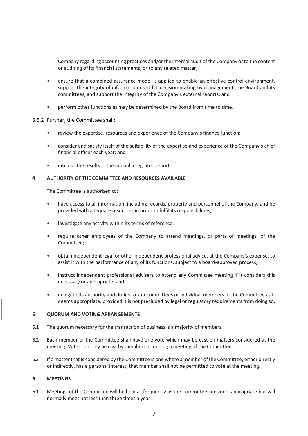Company regarding accounting practices and/or the internal audit of the Company or to the content or auditing of its financial statements, or to any related matter;

- ensure that a combined assurance model is applied to enable an effective control environment, support the integrity of information used for decision-making by management, the Board and its committees, and support the integrity of the Company's external reports; and
- perform other functions as may be determined by the Board from time to time.

## 3.5.2 Further, the Committee shall:

- review the expertise, resources and experience of the Company's finance function;
- consider and satisfy itself of the suitability of the expertise and experience of the Company's chief financial officer each year; and
- disclose the results in the annual integrated report.

## **4 AUTHORITY OF THE COMMITTEE AND RESOURCES AVAILABLE**

The Committee is authorised to:

- have access to all information, including records, property and personnel of the Company, and be provided with adequate resources in order to fulfil its responsibilities;
- investigate any activity within its terms of reference;
- require other employees of the Company to attend meetings, or parts of meetings, of the Committee;
- obtain independent legal or other independent professional advice, at the Company's expense, to assist it with the performance of any of its functions, subject to a board-approved process;
- instruct independent professional advisers to attend any Committee meeting if it considers this necessary or appropriate; and
- delegate its authority and duties to sub-committees or individual members of the Committee as it deems appropriate, provided it is not precluded by legal or regulatory requirements from doing so.

# **5 QUORUM AND VOTING ARRANGEMENTS**

- 5.1 The quorum necessary for the transaction of business is a majority of members.
- 5.2 Each member of the Committee shall have one vote which may be cast on matters considered at the meeting. Votes can only be cast by members attending a meeting of the Committee.
- 5.3 If a matter that is considered by the Committee is one where a member of the Committee, either directly or indirectly, has a personal interest, that member shall not be permitted to vote at the meeting.

### **6 MEETINGS**

6.1 Meetings of the Committee will be held as frequently as the Committee considers appropriate but will normally meet not less than three times a year.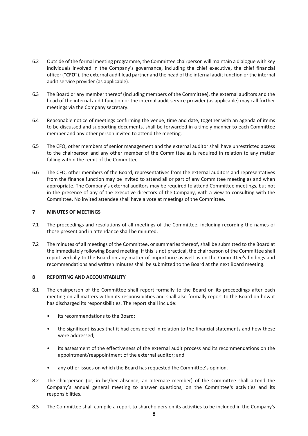- 6.2 Outside of the formal meeting programme, the Committee chairperson will maintain a dialogue with key individuals involved in the Company's governance, including the chief executive, the chief financial officer ("**CFO**"), the external audit lead partner and the head of the internal audit function or the internal audit service provider (as applicable).
- 6.3 The Board or any member thereof (including members of the Committee), the external auditors and the head of the internal audit function or the internal audit service provider (as applicable) may call further meetings via the Company secretary.
- 6.4 Reasonable notice of meetings confirming the venue, time and date, together with an agenda of items to be discussed and supporting documents, shall be forwarded in a timely manner to each Committee member and any other person invited to attend the meeting.
- 6.5 The CFO, other members of senior management and the external auditor shall have unrestricted access to the chairperson and any other member of the Committee as is required in relation to any matter falling within the remit of the Committee.
- 6.6 The CFO, other members of the Board, representatives from the external auditors and representatives from the finance function may be invited to attend all or part of any Committee meeting as and when appropriate. The Company's external auditors may be required to attend Committee meetings, but not in the presence of any of the executive directors of the Company, with a view to consulting with the Committee. No invited attendee shall have a vote at meetings of the Committee.

# **7 MINUTES OF MEETINGS**

- 7.1 The proceedings and resolutions of all meetings of the Committee, including recording the names of those present and in attendance shall be minuted.
- 7.2 The minutes of all meetings of the Committee, or summaries thereof, shall be submitted to the Board at the immediately following Board meeting. If this is not practical, the chairperson of the Committee shall report verbally to the Board on any matter of importance as well as on the Committee's findings and recommendations and written minutes shall be submitted to the Board at the next Board meeting.

# <span id="page-7-0"></span>**8 REPORTING AND ACCOUNTABILITY**

- 8.1 The chairperson of the Committee shall report formally to the Board on its proceedings after each meeting on all matters within its responsibilities and shall also formally report to the Board on how it has discharged its responsibilities. The report shall include:
	- its recommendations to the Board;
	- the significant issues that it had considered in relation to the financial statements and how these were addressed;
	- its assessment of the effectiveness of the external audit process and its recommendations on the appointment/reappointment of the external auditor; and
	- any other issues on which the Board has requested the Committee's opinion.
- 8.2 The chairperson (or, in his/her absence, an alternate member) of the Committee shall attend the Company's annual general meeting to answer questions, on the Committee's activities and its responsibilities.
- <span id="page-7-1"></span>8.3 The Committee shall compile a report to shareholders on its activities to be included in the Company's